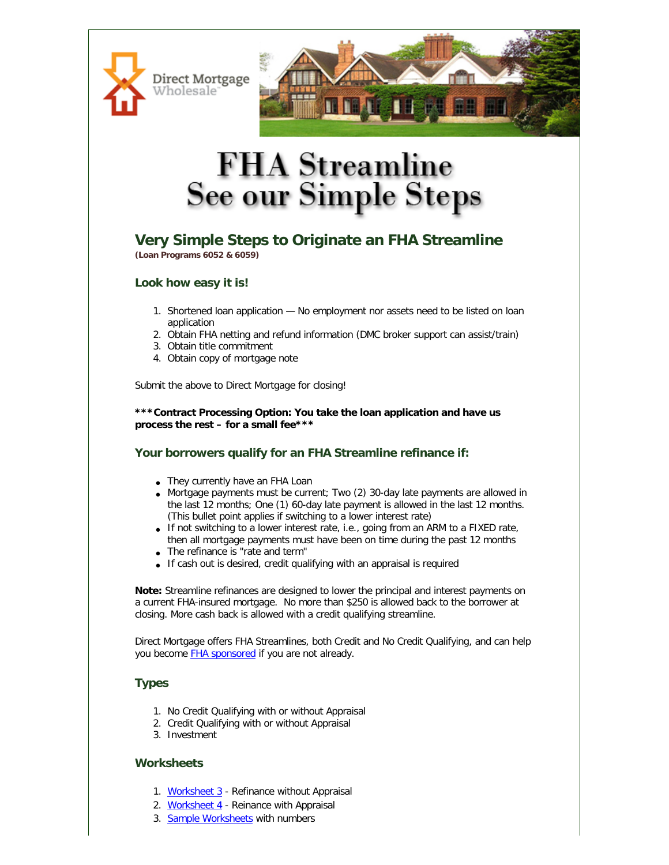



# **FHA** Streamline **See our Simple Steps**

## **Very Simple Steps to Originate an FHA Streamline (Loan Programs 6052 & 6059)**

### **Look how easy it is!**

- 1. Shortened loan application No employment nor assets need to be listed on loan application
- 2. Obtain FHA netting and refund information (DMC broker support can assist/train)
- 3. Obtain title commitment
- 4. Obtain copy of mortgage note

Submit the above to Direct Mortgage for closing!

**\*\*\*Contract Processing Option: You take the loan application and have us process the rest – for a small fee\*\*\***

## **Your borrowers qualify for an FHA Streamline refinance if:**

- They currently have an FHA Loan
- Mortgage payments must be current; Two (2) 30-day late payments are allowed in the last 12 months; One (1) 60-day late payment is allowed in the last 12 months. (This bullet point applies if switching to a lower interest rate)
- If not switching to a lower interest rate, i.e., going from an ARM to a FIXED rate, then all mortgage payments must have been on time during the past 12 months
- The refinance is "rate and term"
- If cash out is desired, credit qualifying with an appraisal is required

**Note:** Streamline refinances are designed to lower the principal and interest payments on a current FHA-insured mortgage. No more than \$250 is allowed back to the borrower at closing. More cash back is allowed with a credit qualifying streamline.

Direct Mortgage offers FHA Streamlines, both Credit and No Credit Qualifying, and can help you become **FHA** sponsored if you are not already.

## **Types**

- 1. No Credit Qualifying with or without Appraisal
- 2. Credit Qualifying with or without Appraisal
- 3. Investment

### **Worksheets**

- 1. [Worksheet 3](http://www.directmortgagewholesale.com/education/fha-streamline-worksheet3.pdf) Refinance without Appraisal
- 2. [Worksheet 4](http://www.directmortgagewholesale.com/education/fha-streamline-worksheet4.pdf) Reinance with Appraisal
- 3. [Sample Worksheets](http://www.directmortgagewholesale.com/education/FHA-Streamline-Sample-Worksheets.pdf) with numbers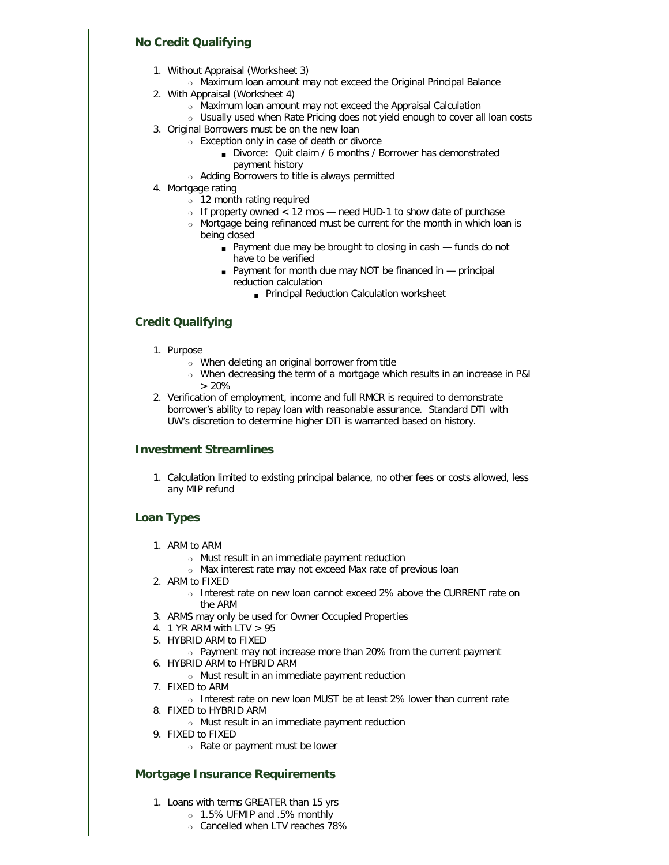### **No Credit Qualifying**

- 1. Without Appraisal (Worksheet 3)
	- o Maximum loan amount may not exceed the Original Principal Balance
- 2. With Appraisal (Worksheet 4)
	- ❍ Maximum loan amount may not exceed the Appraisal Calculation
	- o Usually used when Rate Pricing does not yield enough to cover all loan costs
- 3. Original Borrowers must be on the new loan
	- ❍ Exception only in case of death or divorce
		- Divorce: Quit claim / 6 months / Borrower has demonstrated payment history
	- ❍ Adding Borrowers to title is always permitted
- 4. Mortgage rating
	- $\frac{3}{2}$  12 month rating required
	- $\circ$  If property owned < 12 mos need HUD-1 to show date of purchase
	- ❍ Mortgage being refinanced must be current for the month in which loan is being closed
		- Payment due may be brought to closing in cash funds do not have to be verified
		- Payment for month due may NOT be financed in principal reduction calculation
			- Principal Reduction Calculation worksheet

## **Credit Qualifying**

- 1. Purpose
	- ❍ When deleting an original borrower from title
	- ❍ When decreasing the term of a mortgage which results in an increase in P&I > 20%
- 2. Verification of employment, income and full RMCR is required to demonstrate borrower's ability to repay loan with reasonable assurance. Standard DTI with UW's discretion to determine higher DTI is warranted based on history.

### **Investment Streamlines**

1. Calculation limited to existing principal balance, no other fees or costs allowed, less any MIP refund

## **Loan Types**

- 1. ARM to ARM
	- ❍ Must result in an immediate payment reduction
	- ❍ Max interest rate may not exceed Max rate of previous loan
- 2. ARM to FIXED
	- ❍ Interest rate on new loan cannot exceed 2% above the CURRENT rate on the ARM
- 3. ARMS may only be used for Owner Occupied Properties
- 4. 1 YR ARM with LTV > 95
- 5. HYBRID ARM to FIXED
	- ❍ Payment may not increase more than 20% from the current payment
- 6. HYBRID ARM to HYBRID ARM
	- ❍ Must result in an immediate payment reduction
- 7. FIXED to ARM
	- ❍ Interest rate on new loan MUST be at least 2% lower than current rate
- 8. FIXED to HYBRID ARM
	- ❍ Must result in an immediate payment reduction
- 9. FIXED to FIXED
	- ❍ Rate or payment must be lower

### **Mortgage Insurance Requirements**

- 1. Loans with terms GREATER than 15 yrs
	- ❍ 1.5% UFMIP and .5% monthly
	- o Cancelled when LTV reaches 78%